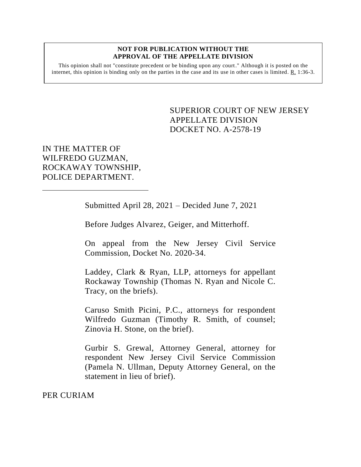#### **NOT FOR PUBLICATION WITHOUT THE APPROVAL OF THE APPELLATE DIVISION**

This opinion shall not "constitute precedent or be binding upon any court." Although it is posted on the internet, this opinion is binding only on the parties in the case and its use in other cases is limited. R. 1:36-3.

> <span id="page-0-0"></span>SUPERIOR COURT OF NEW JERSEY APPELLATE DIVISION DOCKET NO. A-2578-19

IN THE MATTER OF WILFREDO GUZMAN, ROCKAWAY TOWNSHIP, POLICE DEPARTMENT.

Submitted April 28, 2021 – Decided June 7, 2021

Before Judges Alvarez, Geiger, and Mitterhoff.

On appeal from the New Jersey Civil Service Commission, Docket No. 2020-34.

Laddey, Clark & Ryan, LLP, attorneys for appellant Rockaway Township (Thomas N. Ryan and Nicole C. Tracy, on the briefs).

Caruso Smith Picini, P.C., attorneys for respondent Wilfredo Guzman (Timothy R. Smith, of counsel; Zinovia H. Stone, on the brief).

Gurbir S. Grewal, Attorney General, attorney for respondent New Jersey Civil Service Commission (Pamela N. Ullman, Deputy Attorney General, on the statement in lieu of brief).

PER CURIAM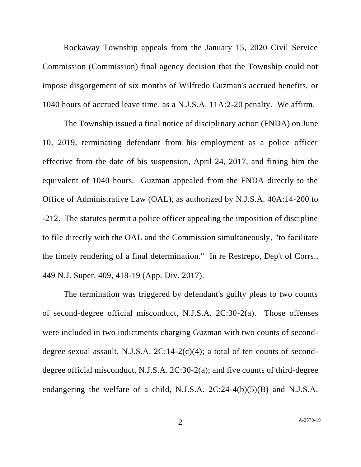Rockaway Township appeals from the January 15, 2020 Civil Service Commission (Commission) final agency decision that the Township could not impose disgorgement of six months of Wilfredo Guzman's accrued benefits, or 1040 hours of accrued leave time, as a N.J.S.A. 11A:2-20 penalty. We affirm.

The Township issued a final notice of disciplinary action (FNDA) on June 10, 2019, terminating defendant from his employment as a police officer effective from the date of his suspension, April 24, 2017, and fining him the equivalent of 1040 hours. Guzman appealed from the FNDA directly to the Office of Administrative Law (OAL), as authorized by N.J.S.A. 40A:14-200 to -212. The statutes permit a police officer appealing the imposition of discipline to file directly with the OAL and the Commission simultaneously, "to facilitate the timely rendering of a final determination." In re Restrepo, Dep't of Corrs., 449 N.J. Super. 409, 418-19 (App. Div. 2017).

The termination was triggered by defendant's guilty pleas to two counts of second-degree official misconduct, N.J.S.A. 2C:30-2(a). Those offenses were included in two indictments charging Guzman with two counts of seconddegree sexual assault, N.J.S.A.  $2C:14-2(c)(4)$ ; a total of ten counts of seconddegree official misconduct, N.J.S.A. 2C:30-2(a); and five counts of third-degree endangering the welfare of a child, N.J.S.A. 2C:24-4(b)(5)(B) and N.J.S.A.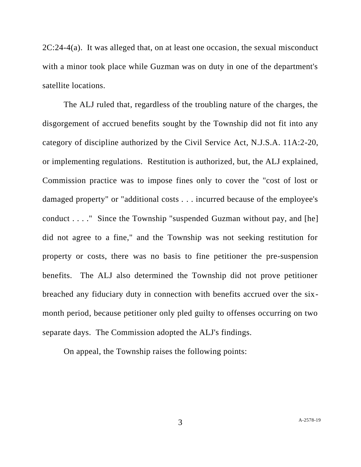$2C:24-4(a)$ . It was alleged that, on at least one occasion, the sexual misconduct with a minor took place while Guzman was on duty in one of the department's satellite locations.

The ALJ ruled that, regardless of the troubling nature of the charges, the disgorgement of accrued benefits sought by the Township did not fit into any category of discipline authorized by the Civil Service Act, N.J.S.A. 11A:2-20, or implementing regulations. Restitution is authorized, but, the ALJ explained, Commission practice was to impose fines only to cover the "cost of lost or damaged property" or "additional costs . . . incurred because of the employee's conduct . . . ." Since the Township "suspended Guzman without pay, and [he] did not agree to a fine," and the Township was not seeking restitution for property or costs, there was no basis to fine petitioner the pre-suspension benefits. The ALJ also determined the Township did not prove petitioner breached any fiduciary duty in connection with benefits accrued over the sixmonth period, because petitioner only pled guilty to offenses occurring on two separate days. The Commission adopted the ALJ's findings.

On appeal, the Township raises the following points:

3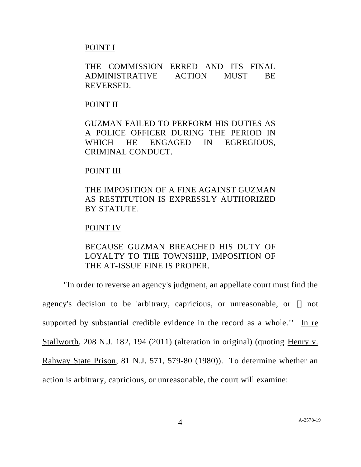### POINT I

THE COMMISSION ERRED AND ITS FINAL ADMINISTRATIVE ACTION MUST BE REVERSED.

### POINT II

GUZMAN FAILED TO PERFORM HIS DUTIES AS A POLICE OFFICER DURING THE PERIOD IN WHICH HE ENGAGED IN EGREGIOUS, CRIMINAL CONDUCT.

# POINT III

THE IMPOSITION OF A FINE AGAINST GUZMAN AS RESTITUTION IS EXPRESSLY AUTHORIZED BY STATUTE.

# POINT IV

# BECAUSE GUZMAN BREACHED HIS DUTY OF LOYALTY TO THE TOWNSHIP, IMPOSITION OF THE AT-ISSUE FINE IS PROPER.

"In order to reverse an agency's judgment, an appellate court must find the agency's decision to be 'arbitrary, capricious, or unreasonable, or [] not supported by substantial credible evidence in the record as a whole.'" In re Stallworth, 208 N.J. 182, 194 (2011) (alteration in original) (quoting Henry v. Rahway State Prison, 81 N.J. 571, 579-80 (1980)). To determine whether an action is arbitrary, capricious, or unreasonable, the court will examine: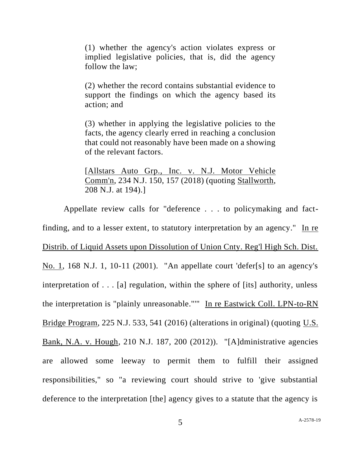(1) whether the agency's action violates express or implied legislative policies, that is, did the agency follow the law;

(2) whether the record contains substantial evidence to support the findings on which the agency based its action; and

(3) whether in applying the legislative policies to the facts, the agency clearly erred in reaching a conclusion that could not reasonably have been made on a showing of the relevant factors.

[Allstars Auto Grp., Inc. v. N.J. Motor Vehicle Comm'n, 234 N.J. 150, 157 (2018) (quoting Stallworth, 208 N.J. at 194).]

Appellate review calls for "deference . . . to policymaking and factfinding, and to a lesser extent, to statutory interpretation by an agency." In re Distrib. of Liquid Assets upon Dissolution of Union Cnty. Reg'l High Sch. Dist. No. 1, 168 N.J. 1, 10-11 (2001). "An appellate court 'defer[s] to an agency's interpretation of . . . [a] regulation, within the sphere of [its] authority, unless the interpretation is "plainly unreasonable."'" In re Eastwick Coll. LPN-to-RN Bridge Program, 225 N.J. 533, 541 (2016) (alterations in original) (quoting U.S. Bank, N.A. v. Hough, 210 N.J. 187, 200 (2012)). "[A]dministrative agencies are allowed some leeway to permit them to fulfill their assigned responsibilities," so "a reviewing court should strive to 'give substantial deference to the interpretation [the] agency gives to a statute that the agency is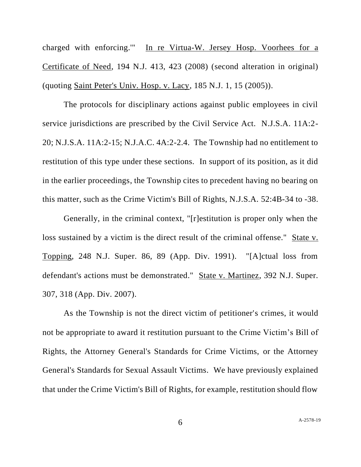charged with enforcing.'" In re Virtua-W. Jersey Hosp. Voorhees for a Certificate of Need, 194 N.J. 413, 423 (2008) (second alteration in original) (quoting Saint Peter's Univ. Hosp. v. Lacy, 185 N.J. 1, 15 (2005)).

The protocols for disciplinary actions against public employees in civil service jurisdictions are prescribed by the Civil Service Act. N.J.S.A. 11A:2- 20; N.J.S.A. 11A:2-15; N.J.A.C. 4A:2-2.4. The Township had no entitlement to restitution of this type under these sections. In support of its position, as it did in the earlier proceedings, the Township cites to precedent having no bearing on this matter, such as the Crime Victim's Bill of Rights, N.J.S.A. 52:4B-34 to -38.

Generally, in the criminal context, "[r]estitution is proper only when the loss sustained by a victim is the direct result of the criminal offense." State v. Topping, 248 N.J. Super. 86, 89 (App. Div. 1991). "[A]ctual loss from defendant's actions must be demonstrated." State v. Martinez, 392 N.J. Super. 307, 318 (App. Div. 2007).

As the Township is not the direct victim of petitioner's crimes, it would not be appropriate to award it restitution pursuant to the Crime Victim's Bill of Rights, the Attorney General's Standards for Crime Victims, or the Attorney General's Standards for Sexual Assault Victims. We have previously explained that under the Crime Victim's Bill of Rights, for example, restitution should flow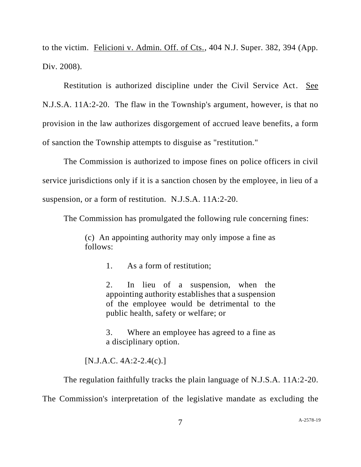to the victim. Felicioni v. Admin. Off. of Cts., 404 N.J. Super. 382, 394 (App. Div. 2008).

Restitution is authorized discipline under the Civil Service Act. See N.J.S.A. 11A:2-20. The flaw in the Township's argument, however, is that no provision in the law authorizes disgorgement of accrued leave benefits, a form of sanction the Township attempts to disguise as "restitution."

The Commission is authorized to impose fines on police officers in civil service jurisdictions only if it is a sanction chosen by the employee, in lieu of a suspension, or a form of restitution. N.J.S.A. 11A:2-20.

The Commission has promulgated the following rule concerning fines:

(c) An appointing authority may only impose a fine as follows:

1. As a form of restitution;

2. In lieu of a suspension, when the appointing authority establishes that a suspension of the employee would be detrimental to the public health, safety or welfare; or

3. Where an employee has agreed to a fine as a disciplinary option.

[N.J.A.C. 4A:2-2.4(c).]

The regulation faithfully tracks the plain language of N.J.S.A. 11A:2-20.

The Commission's interpretation of the legislative mandate as excluding the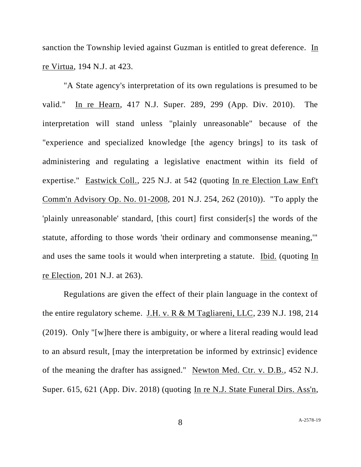sanction the Township levied against Guzman is entitled to great deference. In re Virtua, 194 N.J. at 423.

"A State agency's interpretation of its own regulations is presumed to be valid." In re Hearn, 417 N.J. Super. 289, 299 (App. Div. 2010). The interpretation will stand unless "plainly unreasonable" because of the "experience and specialized knowledge [the agency brings] to its task of administering and regulating a legislative enactment within its field of expertise." Eastwick Coll., 225 N.J. at 542 (quoting In re Election Law Enf't Comm'n Advisory Op. No. 01-2008, 201 N.J. 254, 262 (2010)). "To apply the 'plainly unreasonable' standard, [this court] first consider[s] the words of the statute, affording to those words 'their ordinary and commonsense meaning,'" and uses the same tools it would when interpreting a statute. Ibid. (quoting In re Election, 201 N.J. at 263).

Regulations are given the effect of their plain language in the context of the entire regulatory scheme. J.H. v. R & M Tagliareni, LLC, 239 N.J. 198, 214 (2019). Only "[w]here there is ambiguity, or where a literal reading would lead to an absurd result, [may the interpretation be informed by extrinsic] evidence of the meaning the drafter has assigned." Newton Med. Ctr. v. D.B., 452 N.J. Super. 615, 621 (App. Div. 2018) (quoting In re N.J. State Funeral Dirs. Ass'n,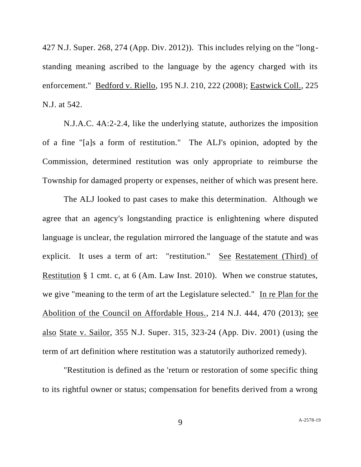427 N.J. Super. 268, 274 (App. Div. 2012)). This includes relying on the "longstanding meaning ascribed to the language by the agency charged with its enforcement." Bedford v. Riello, 195 N.J. 210, 222 (2008); Eastwick Coll., 225 N.J. at 542.

N.J.A.C. 4A:2-2.4, like the underlying statute, authorizes the imposition of a fine "[a]s a form of restitution." The ALJ's opinion, adopted by the Commission, determined restitution was only appropriate to reimburse the Township for damaged property or expenses, neither of which was present here.

The ALJ looked to past cases to make this determination. Although we agree that an agency's longstanding practice is enlightening where disputed language is unclear, the regulation mirrored the language of the statute and was explicit. It uses a term of art: "restitution." See Restatement (Third) of Restitution § 1 cmt. c, at 6 (Am. Law Inst. 2010). When we construe statutes, we give "meaning to the term of art the Legislature selected." In re Plan for the Abolition of the Council on Affordable Hous., 214 N.J. 444, 470 (2013); see also State v. Sailor, 355 N.J. Super. 315, 323-24 (App. Div. 2001) (using the term of art definition where restitution was a statutorily authorized remedy).

"Restitution is defined as the 'return or restoration of some specific thing to its rightful owner or status; compensation for benefits derived from a wrong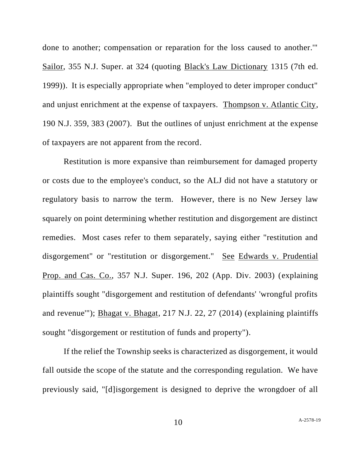done to another; compensation or reparation for the loss caused to another.'" Sailor, 355 N.J. Super. at 324 (quoting Black's Law Dictionary 1315 (7th ed. 1999)). It is especially appropriate when "employed to deter improper conduct" and unjust enrichment at the expense of taxpayers. Thompson v. Atlantic City, 190 N.J. 359, 383 (2007). But the outlines of unjust enrichment at the expense of taxpayers are not apparent from the record.

Restitution is more expansive than reimbursement for damaged property or costs due to the employee's conduct, so the ALJ did not have a statutory or regulatory basis to narrow the term. However, there is no New Jersey law squarely on point determining whether restitution and disgorgement are distinct remedies. Most cases refer to them separately, saying either "restitution and disgorgement" or "restitution or disgorgement." See Edwards v. Prudential Prop. and Cas. Co., 357 N.J. Super. 196, 202 (App. Div. 2003) (explaining plaintiffs sought "disgorgement and restitution of defendants' 'wrongful profits and revenue'"); Bhagat v. Bhagat, 217 N.J. 22, 27 (2014) (explaining plaintiffs sought "disgorgement or restitution of funds and property").

If the relief the Township seeks is characterized as disgorgement, it would fall outside the scope of the statute and the corresponding regulation. We have previously said, "[d]isgorgement is designed to deprive the wrongdoer of all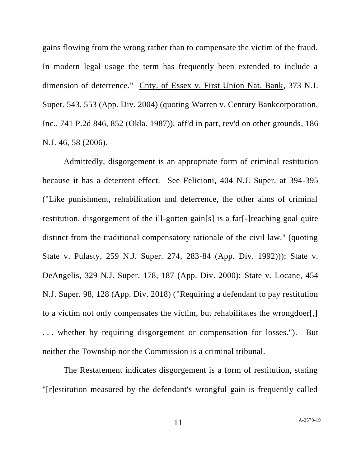gains flowing from the wrong rather than to compensate the victim of the fraud. In modern legal usage the term has frequently been extended to include a dimension of deterrence." Cnty. of Essex v. First Union Nat. Bank, 373 N.J. Super. 543, 553 (App. Div. 2004) (quoting Warren v. Century Bankcorporation, Inc., 741 P.2d 846, 852 (Okla. 1987)), aff'd in part, rev'd on other grounds, 186 N.J. 46, 58 (2006).

Admittedly, disgorgement is an appropriate form of criminal restitution because it has a deterrent effect. See Felicioni, 404 N.J. Super. at 394-395 ("Like punishment, rehabilitation and deterrence, the other aims of criminal restitution, disgorgement of the ill-gotten gain[s] is a far[-]reaching goal quite distinct from the traditional compensatory rationale of the civil law." (quoting State v. Pulasty, 259 N.J. Super. 274, 283-84 (App. Div. 1992))); State v. DeAngelis, 329 N.J. Super. 178, 187 (App. Div. 2000); State v. Locane, 454 N.J. Super. 98, 128 (App. Div. 2018) ("Requiring a defendant to pay restitution to a victim not only compensates the victim, but rehabilitates the wrongdoer[,] . . . whether by requiring disgorgement or compensation for losses."). But neither the Township nor the Commission is a criminal tribunal.

The Restatement indicates disgorgement is a form of restitution, stating "[r]estitution measured by the defendant's wrongful gain is frequently called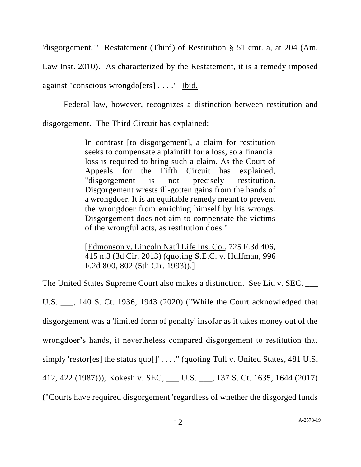'disgorgement.'" Restatement (Third) of Restitution § 51 cmt. a, at 204 (Am.

Law Inst. 2010). As characterized by the Restatement, it is a remedy imposed against "conscious wrongdo[ers] . . . ." Ibid.

Federal law, however, recognizes a distinction between restitution and disgorgement. The Third Circuit has explained:

> In contrast [to disgorgement], a claim for restitution seeks to compensate a plaintiff for a loss, so a financial loss is required to bring such a claim. As the Court of Appeals for the Fifth Circuit has explained, "disgorgement is not precisely restitution. Disgorgement wrests ill-gotten gains from the hands of a wrongdoer. It is an equitable remedy meant to prevent the wrongdoer from enriching himself by his wrongs. Disgorgement does not aim to compensate the victims of the wrongful acts, as restitution does."

> [Edmonson v. Lincoln Nat'l Life Ins. Co., 725 F.3d 406, 415 n.3 (3d Cir. 2013) (quoting S.E.C. v. Huffman, 996 F.2d 800, 802 (5th Cir. 1993)).]

The United States Supreme Court also makes a distinction. See Liu v. SEC, \_\_\_

U.S. \_\_\_, 140 S. Ct. 1936, 1943 (2020) ("While the Court acknowledged that disgorgement was a 'limited form of penalty' insofar as it takes money out of the wrongdoer's hands, it nevertheless compared disgorgement to restitution that simply 'restor[es] the status  $quo[]' \ldots$ ." (quoting Tull v. United States, 481 U.S. 412, 422 (1987))); Kokesh v. SEC, \_\_\_ U.S. \_\_\_, 137 S. Ct. 1635, 1644 (2017) ("Courts have required disgorgement 'regardless of whether the disgorged funds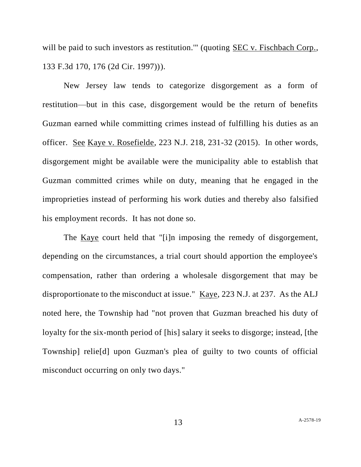will be paid to such investors as restitution." (quoting SEC v. Fischbach Corp., 133 F.3d 170, 176 (2d Cir. 1997))).

New Jersey law tends to categorize disgorgement as a form of restitution—but in this case, disgorgement would be the return of benefits Guzman earned while committing crimes instead of fulfilling his duties as an officer. See Kaye v. Rosefielde, 223 N.J. 218, 231-32 (2015). In other words, disgorgement might be available were the municipality able to establish that Guzman committed crimes while on duty, meaning that he engaged in the improprieties instead of performing his work duties and thereby also falsified his employment records. It has not done so.

The Kaye court held that "[i]n imposing the remedy of disgorgement, depending on the circumstances, a trial court should apportion the employee's compensation, rather than ordering a wholesale disgorgement that may be disproportionate to the misconduct at issue." Kaye, 223 N.J. at 237. As the ALJ noted here, the Township had "not proven that Guzman breached his duty of loyalty for the six-month period of [his] salary it seeks to disgorge; instead, [the Township] relie[d] upon Guzman's plea of guilty to two counts of official misconduct occurring on only two days."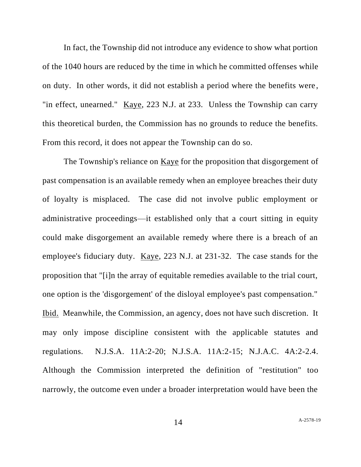In fact, the Township did not introduce any evidence to show what portion of the 1040 hours are reduced by the time in which he committed offenses while on duty. In other words, it did not establish a period where the benefits were , "in effect, unearned." Kaye, 223 N.J. at 233. Unless the Township can carry this theoretical burden, the Commission has no grounds to reduce the benefits. From this record, it does not appear the Township can do so.

The Township's reliance on Kaye for the proposition that disgorgement of past compensation is an available remedy when an employee breaches their duty of loyalty is misplaced. The case did not involve public employment or administrative proceedings—it established only that a court sitting in equity could make disgorgement an available remedy where there is a breach of an employee's fiduciary duty. Kaye, 223 N.J. at 231-32. The case stands for the proposition that "[i]n the array of equitable remedies available to the trial court, one option is the 'disgorgement' of the disloyal employee's past compensation." Ibid. Meanwhile, the Commission, an agency, does not have such discretion. It may only impose discipline consistent with the applicable statutes and regulations. N.J.S.A. 11A:2-20; N.J.S.A. 11A:2-15; N.J.A.C. 4A:2-2.4. Although the Commission interpreted the definition of "restitution" too narrowly, the outcome even under a broader interpretation would have been the